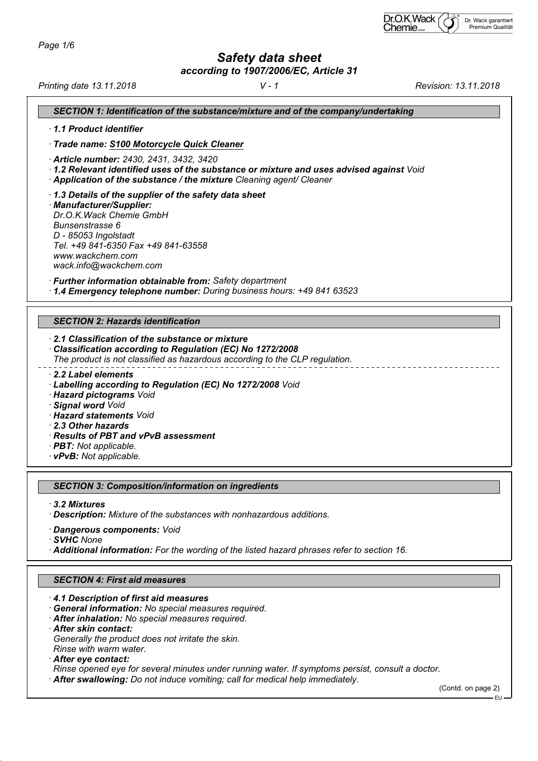# *Safety data sheet*

*according to 1907/2006/EC, Article 31*

*Printing date 13.11.2018 V - 1 Revision: 13.11.2018*

| SECTION 1: Identification of the substance/mixture and of the company/undertaking                                                                                                                                                                                                       |  |  |  |
|-----------------------------------------------------------------------------------------------------------------------------------------------------------------------------------------------------------------------------------------------------------------------------------------|--|--|--|
| 1.1 Product identifier                                                                                                                                                                                                                                                                  |  |  |  |
| · Trade name: S100 Motorcycle Quick Cleaner                                                                                                                                                                                                                                             |  |  |  |
| Article number: 2430, 2431, 3432, 3420<br>$\cdot$ 1.2 Relevant identified uses of the substance or mixture and uses advised against Void<br>Application of the substance / the mixture Cleaning agent/ Cleaner                                                                          |  |  |  |
| 1.3 Details of the supplier of the safety data sheet<br>· Manufacturer/Supplier:<br>Dr.O.K.Wack Chemie GmbH<br>Bunsenstrasse 6<br>D - 85053 Ingolstadt<br>Tel. +49 841-6350 Fax +49 841-63558<br>www.wackchem.com<br>wack.info@wackchem.com                                             |  |  |  |
| · Further information obtainable from: Safety department<br>1.4 Emergency telephone number: During business hours: +49 841 63523                                                                                                                                                        |  |  |  |
| <b>SECTION 2: Hazards identification</b>                                                                                                                                                                                                                                                |  |  |  |
|                                                                                                                                                                                                                                                                                         |  |  |  |
| 2.1 Classification of the substance or mixture<br>Classification according to Regulation (EC) No 1272/2008<br>The product is not classified as hazardous according to the CLP regulation.                                                                                               |  |  |  |
| 2.2 Label elements<br>· Labelling according to Regulation (EC) No 1272/2008 Void<br>· Hazard pictograms Void<br>· Signal word Void<br>· Hazard statements Void<br>2.3 Other hazards<br>· Results of PBT and vPvB assessment<br>· <b>PBT:</b> Not applicable.<br>· vPvB: Not applicable. |  |  |  |
|                                                                                                                                                                                                                                                                                         |  |  |  |
| <b>SECTION 3: Composition/information on ingredients</b>                                                                                                                                                                                                                                |  |  |  |
| · 3.2 Mixtures<br>Description: Mixture of the substances with nonhazardous additions.                                                                                                                                                                                                   |  |  |  |
| · Dangerous components: Void<br>· SVHC None<br>Additional information: For the wording of the listed hazard phrases refer to section 16.                                                                                                                                                |  |  |  |
| <b>SECTION 4: First aid measures</b>                                                                                                                                                                                                                                                    |  |  |  |
|                                                                                                                                                                                                                                                                                         |  |  |  |
| 4.1 Description of first aid measures<br>· General information: No special measures required.<br>· After inhalation: No special measures required.<br>· After skin contact:                                                                                                             |  |  |  |

*Generally the product does not irritate the skin.*

*Rinse with warm water.*

 *After eye contact:*

*Rinse opened eye for several minutes under running water. If symptoms persist, consult a doctor.*

 *After swallowing: Do not induce vomiting; call for medical help immediately.*

(Contd. on page 2) EU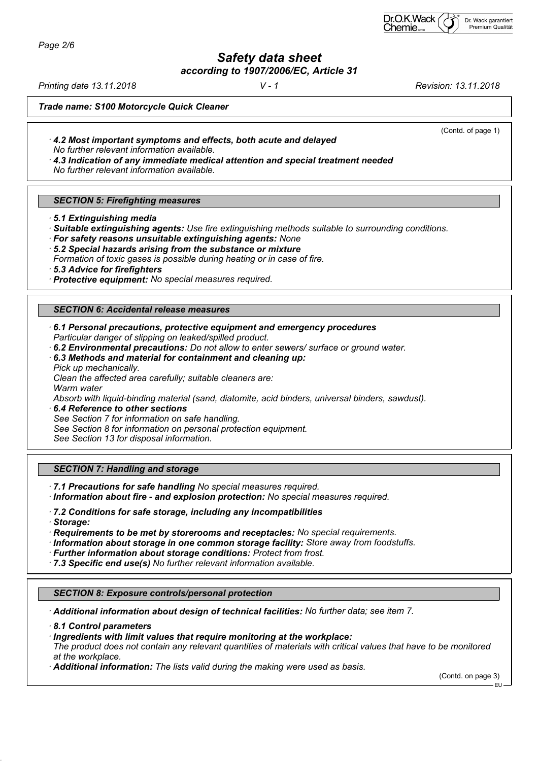*Page 2/6*

*Safety data sheet*

*according to 1907/2006/EC, Article 31*

*Printing date 13.11.2018 V - 1 Revision: 13.11.2018*

(Contd. of page 1)

*Trade name: S100 Motorcycle Quick Cleaner*

 *4.2 Most important symptoms and effects, both acute and delayed No further relevant information available.*

 *4.3 Indication of any immediate medical attention and special treatment needed No further relevant information available.*

## *SECTION 5: Firefighting measures*

 *5.1 Extinguishing media*

 *Suitable extinguishing agents: Use fire extinguishing methods suitable to surrounding conditions.*

- *For safety reasons unsuitable extinguishing agents: None*
- *5.2 Special hazards arising from the substance or mixture*

*Formation of toxic gases is possible during heating or in case of fire.*

 *5.3 Advice for firefighters*

 *Protective equipment: No special measures required.*

#### *SECTION 6: Accidental release measures*

- *6.1 Personal precautions, protective equipment and emergency procedures Particular danger of slipping on leaked/spilled product.*
- *6.2 Environmental precautions: Do not allow to enter sewers/ surface or ground water.*
- *6.3 Methods and material for containment and cleaning up: Pick up mechanically.*

*Clean the affected area carefully; suitable cleaners are: Warm water*

*Absorb with liquid-binding material (sand, diatomite, acid binders, universal binders, sawdust).*

 *6.4 Reference to other sections*

*See Section 7 for information on safe handling.*

*See Section 8 for information on personal protection equipment.*

*See Section 13 for disposal information.*

## *SECTION 7: Handling and storage*

 *7.1 Precautions for safe handling No special measures required.*

- *Information about fire and explosion protection: No special measures required.*
- *7.2 Conditions for safe storage, including any incompatibilities*
- *Storage:*

 *Requirements to be met by storerooms and receptacles: No special requirements.*

- *Information about storage in one common storage facility: Store away from foodstuffs.*
- *Further information about storage conditions: Protect from frost.*
- *7.3 Specific end use(s) No further relevant information available.*

## *SECTION 8: Exposure controls/personal protection*

 *Additional information about design of technical facilities: No further data; see item 7.*

 *8.1 Control parameters*

 *Ingredients with limit values that require monitoring at the workplace: The product does not contain any relevant quantities of materials with critical values that have to be monitored at the workplace.*

 *Additional information: The lists valid during the making were used as basis.*

(Contd. on page 3)

EU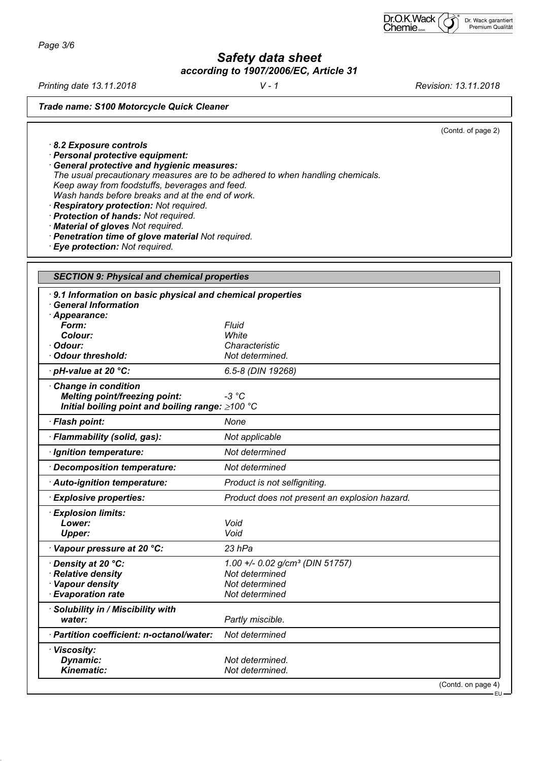*Page 3/6*

*Safety data sheet according to 1907/2006/EC, Article 31*

*Printing date 13.11.2018 V - 1 Revision: 13.11.2018*

*Trade name: S100 Motorcycle Quick Cleaner*

(Contd. of page 2)

 *8.2 Exposure controls*

 *Personal protective equipment:*

 *General protective and hygienic measures: The usual precautionary measures are to be adhered to when handling chemicals. Keep away from foodstuffs, beverages and feed. Wash hands before breaks and at the end of work.*

 *Respiratory protection: Not required.*

 *Protection of hands: Not required.*

 *Material of gloves Not required.*

 *Penetration time of glove material Not required.*

 *Eye protection: Not required.*

| <b>SECTION 9: Physical and chemical properties</b>          |                                                           |  |  |
|-------------------------------------------------------------|-----------------------------------------------------------|--|--|
| <b>General Information</b>                                  | 9.1 Information on basic physical and chemical properties |  |  |
| · Appearance:                                               |                                                           |  |  |
| Form:                                                       | <b>Fluid</b>                                              |  |  |
| Colour:                                                     | White                                                     |  |  |
| Odour:                                                      | Characteristic                                            |  |  |
| <b>Odour threshold:</b>                                     | Not determined.                                           |  |  |
| $\cdot$ pH-value at 20 $^{\circ}$ C:                        | 6.5-8 (DIN 19268)                                         |  |  |
| Change in condition<br><b>Melting point/freezing point:</b> | $-3 °C$                                                   |  |  |
| Initial boiling point and boiling range: ≥100 °C            |                                                           |  |  |
| · Flash point:                                              | None                                                      |  |  |
| · Flammability (solid, gas):                                | Not applicable                                            |  |  |
| · Ignition temperature:                                     | Not determined                                            |  |  |
| Decomposition temperature:                                  | Not determined                                            |  |  |
| · Auto-ignition temperature:                                | Product is not selfigniting.                              |  |  |
| <b>Explosive properties:</b>                                | Product does not present an explosion hazard.             |  |  |
| <b>Explosion limits:</b>                                    |                                                           |  |  |
| Lower:                                                      | Void                                                      |  |  |
| <b>Upper:</b>                                               | Void                                                      |  |  |
| Vapour pressure at 20 °C:                                   | $23$ hPa                                                  |  |  |
| Density at 20 °C:                                           | 1.00 +/- 0.02 g/cm <sup>3</sup> (DIN 51757)               |  |  |
| · Relative density                                          | Not determined                                            |  |  |
| · Vapour density                                            | Not determined                                            |  |  |
| <b>Evaporation rate</b>                                     | Not determined                                            |  |  |
| Solubility in / Miscibility with                            |                                                           |  |  |
| water:                                                      | Partly miscible.                                          |  |  |
| · Partition coefficient: n-octanol/water:                   | Not determined                                            |  |  |
| · Viscosity:                                                |                                                           |  |  |
| Dynamic:                                                    | Not determined.                                           |  |  |
| Kinematic:                                                  | Not determined.                                           |  |  |
|                                                             | (Contd. on page 4)                                        |  |  |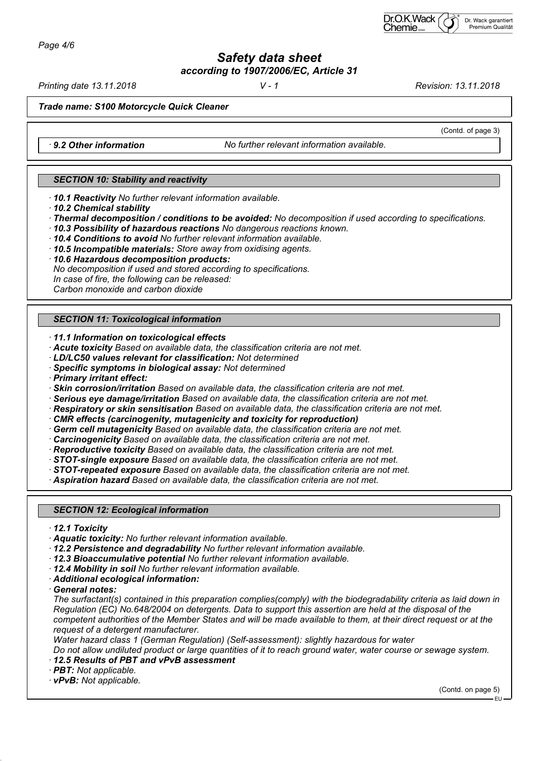*Safety data sheet according to 1907/2006/EC, Article 31*

*Printing date 13.11.2018 V - 1 Revision: 13.11.2018*

(Contd. of page 3)

*Trade name: S100 Motorcycle Quick Cleaner*

 *9.2 Other information No further relevant information available.*

#### *SECTION 10: Stability and reactivity*

 *10.1 Reactivity No further relevant information available.*

- *10.2 Chemical stability*
- *Thermal decomposition / conditions to be avoided: No decomposition if used according to specifications.*
- *10.3 Possibility of hazardous reactions No dangerous reactions known.*
- *10.4 Conditions to avoid No further relevant information available.*
- *10.5 Incompatible materials: Store away from oxidising agents.*
- *10.6 Hazardous decomposition products:*
- *No decomposition if used and stored according to specifications.*

*In case of fire, the following can be released:*

*Carbon monoxide and carbon dioxide*

## *SECTION 11: Toxicological information*

- *11.1 Information on toxicological effects*
- *Acute toxicity Based on available data, the classification criteria are not met.*
- *LD/LC50 values relevant for classification: Not determined*
- *Specific symptoms in biological assay: Not determined*
- *Primary irritant effect:*
- *Skin corrosion/irritation Based on available data, the classification criteria are not met.*
- *Serious eye damage/irritation Based on available data, the classification criteria are not met.*
- *Respiratory or skin sensitisation Based on available data, the classification criteria are not met.*
- *CMR effects (carcinogenity, mutagenicity and toxicity for reproduction)*
- *Germ cell mutagenicity Based on available data, the classification criteria are not met.*
- *Carcinogenicity Based on available data, the classification criteria are not met.*
- *Reproductive toxicity Based on available data, the classification criteria are not met.*
- *STOT-single exposure Based on available data, the classification criteria are not met.*
- *STOT-repeated exposure Based on available data, the classification criteria are not met.*

 *Aspiration hazard Based on available data, the classification criteria are not met.*

# *SECTION 12: Ecological information*

- *12.1 Toxicity*
- *Aquatic toxicity: No further relevant information available.*
- *12.2 Persistence and degradability No further relevant information available.*
- *12.3 Bioaccumulative potential No further relevant information available.*
- *12.4 Mobility in soil No further relevant information available.*
- *Additional ecological information:*
- *General notes:*

*The surfactant(s) contained in this preparation complies(comply) with the biodegradability criteria as laid down in Regulation (EC) No.648/2004 on detergents. Data to support this assertion are held at the disposal of the competent authorities of the Member States and will be made available to them, at their direct request or at the request of a detergent manufacturer.*

*Water hazard class 1 (German Regulation) (Self-assessment): slightly hazardous for water*

*Do not allow undiluted product or large quantities of it to reach ground water, water course or sewage system. 12.5 Results of PBT and vPvB assessment*

- *PBT: Not applicable.*
- *vPvB: Not applicable.*

(Contd. on page 5)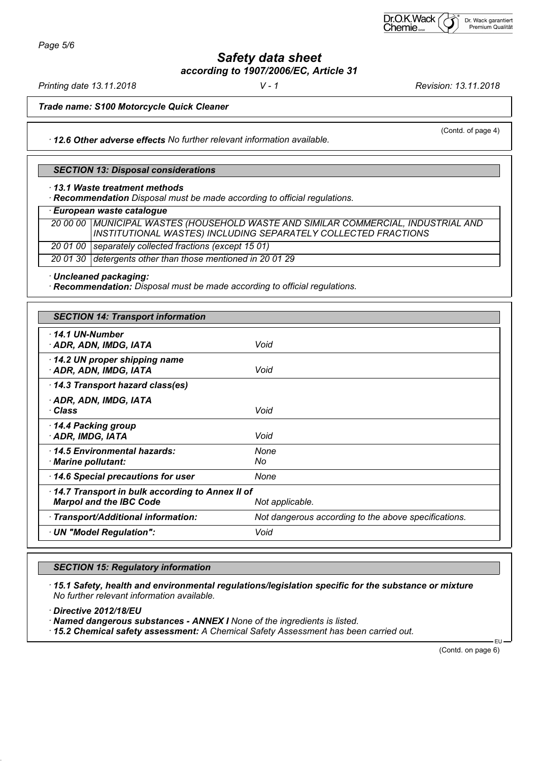*Safety data sheet according to 1907/2006/EC, Article 31*

*Printing date 13.11.2018 V - 1 Revision: 13.11.2018*

(Contd. of page 4)

*Trade name: S100 Motorcycle Quick Cleaner*

 *12.6 Other adverse effects No further relevant information available.*

#### *SECTION 13: Disposal considerations*

 *13.1 Waste treatment methods*

 *Recommendation Disposal must be made according to official regulations.*

 *European waste catalogue*

|  | 20 00 00   MUNICIPAL WASTES (HOUSEHOLD WASTE AND SIMILAR COMMERCIAL, INDUSTRIAL AND |
|--|-------------------------------------------------------------------------------------|
|  | INSTITUTIONAL WASTES) INCLUDING SEPARATELY COLLECTED FRACTIONS                      |
|  | 20 01 00 Separately collected fractions (except 15 01)                              |
|  | 20 01 30 detergents other than those mentioned in 20 01 29                          |

 *Uncleaned packaging:*

 *Recommendation: Disposal must be made according to official regulations.*

| <b>SECTION 14: Transport information</b>                                          |                                                      |  |
|-----------------------------------------------------------------------------------|------------------------------------------------------|--|
| $\cdot$ 14.1 UN-Number<br>· ADR, ADN, IMDG, IATA                                  | Void                                                 |  |
| 14.2 UN proper shipping name<br>· ADR, ADN, IMDG, IATA                            | Void                                                 |  |
| 14.3 Transport hazard class(es)                                                   |                                                      |  |
| $\cdot$ ADR, ADN, IMDG, IATA<br>∙ Class                                           | Void                                                 |  |
| 14.4 Packing group<br>· ADR, IMDG, IATA                                           | Void                                                 |  |
| 14.5 Environmental hazards:<br>· Marine pollutant:                                | None<br>No                                           |  |
| 14.6 Special precautions for user                                                 | None                                                 |  |
| 14.7 Transport in bulk according to Annex II of<br><b>Marpol and the IBC Code</b> | Not applicable.                                      |  |
| · Transport/Additional information:                                               | Not dangerous according to the above specifications. |  |
| · UN "Model Regulation":                                                          | Void                                                 |  |

#### *SECTION 15: Regulatory information*

 *15.1 Safety, health and environmental regulations/legislation specific for the substance or mixture No further relevant information available.*

 *Directive 2012/18/EU*

 *Named dangerous substances - ANNEX I None of the ingredients is listed.*

 *15.2 Chemical safety assessment: A Chemical Safety Assessment has been carried out.*

(Contd. on page 6)

EU